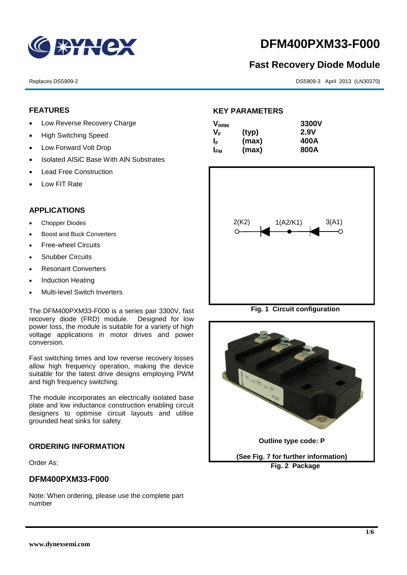

# **DFM400PXM33-F000**

## **Fast Recovery Diode Module**

Replaces DS5909-2 DS5909-2 DS5909-3 April 2013 (LN30370)

#### **FEATURES**

- Low Reverse Recovery Charge
- High Switching Speed
- Low Forward Volt Drop
- Isolated AISiC Base With AIN Substrates
- Lead Free Construction
- Low FIT Rate

#### **APPLICATIONS**

- Chopper Diodes
- Boost and Buck Converters
- Free-wheel Circuits
- Snubber Circuits
- Resonant Converters
- Induction Heating
- Multi-level Switch Inverters

The DFM400PXM33-F000 is a series pair 3300V, fast recovery diode (FRD) module. Designed for low power loss, the module is suitable for a variety of high voltage applications in motor drives and power conversion.

Fast switching times and low reverse recovery losses allow high frequency operation, making the device suitable for the latest drive designs employing PWM and high frequency switching.

The module incorporates an electrically isolated base plate and low inductance construction enabling circuit designers to optimise circuit layouts and utilise grounded heat sinks for safety.

#### **ORDERING INFORMATION**

Order As:

#### **DFM400PXM33-F000**

Note: When ordering, please use the complete part number

#### **KEY PARAMETERS**

| $\mathsf{V}_{\mathsf{RRM}}$ |       | 3300V |
|-----------------------------|-------|-------|
| Vғ                          | (typ) | 2.9V  |
| ΙF                          | (max) | 400A  |
| I <sub>FМ</sub>             | (max) | 800A  |



**Fig. 1 Circuit configuration**

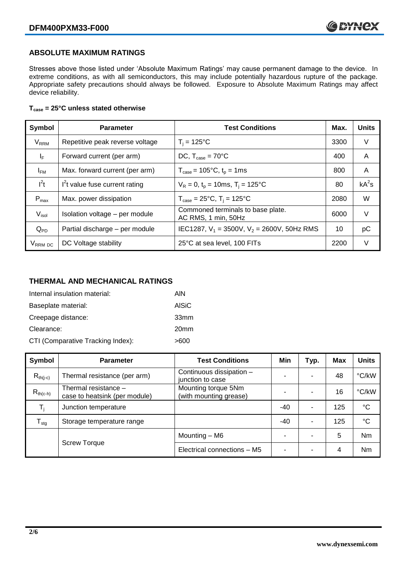#### **ABSOLUTE MAXIMUM RATINGS**

Stresses above those listed under 'Absolute Maximum Ratings' may cause permanent damage to the device. In extreme conditions, as with all semiconductors, this may include potentially hazardous rupture of the package. Appropriate safety precautions should always be followed. Exposure to Absolute Maximum Ratings may affect device reliability.

#### **Tcase = 25°C unless stated otherwise**

| Symbol                 | <b>Parameter</b>                | <b>Test Conditions</b>                                   | Max. | <b>Units</b> |
|------------------------|---------------------------------|----------------------------------------------------------|------|--------------|
| <b>V<sub>RRM</sub></b> | Repetitive peak reverse voltage | $T_i = 125$ °C                                           | 3300 | V            |
| $I_F$                  | Forward current (per arm)       | DC, $T_{\text{case}} = 70^{\circ}$ C                     |      | A            |
| $I_{FM}$               | Max. forward current (per arm)  | $T_{\text{case}} = 105^{\circ}C, t_{p} = 1ms$            | 800  | A            |
| $I^2t$                 | $I2t$ value fuse current rating | $V_R = 0$ , $t_p = 10$ ms, $T_i = 125$ °C                | 80   | $kA^2s$      |
| $P_{\text{max}}$       | Max. power dissipation          | $T_{\text{case}} = 25^{\circ}C$ , $T_i = 125^{\circ}C$   | 2080 | W            |
| $V_{\sf isol}$         | Isolation voltage - per module  | Commoned terminals to base plate.<br>AC RMS, 1 min, 50Hz | 6000 | $\vee$       |
| $Q_{PD}$               | Partial discharge - per module  | IEC1287, $V_1$ = 3500V, $V_2$ = 2600V, 50Hz RMS          | 10   | рC           |
| V <sub>RRM</sub> DC    | DC Voltage stability            | 25°C at sea level, 100 FITs                              | 2200 | V            |

### **THERMAL AND MECHANICAL RATINGS**

| Internal insulation material:     | AIN              |
|-----------------------------------|------------------|
| Baseplate material:               | AISiC            |
| Creepage distance:                | 33mm             |
| Clearance:                        | 20 <sub>mm</sub> |
| CTI (Comparative Tracking Index): | >600             |

| Symbol                     | <b>Parameter</b>                                      | <b>Test Conditions</b>                        | Min | Typ.           | Max | <b>Units</b> |
|----------------------------|-------------------------------------------------------|-----------------------------------------------|-----|----------------|-----|--------------|
| $R_{th(i-c)}$              | Thermal resistance (per arm)                          | Continuous dissipation -<br>junction to case  | -   |                | 48  | °C/kW        |
| $R_{th(c-h)}$              | Thermal resistance -<br>case to heatsink (per module) | Mounting torque 5Nm<br>(with mounting grease) |     |                | 16  | °C/kW        |
| T,                         | Junction temperature                                  |                                               | -40 | ٠              | 125 | $^{\circ}C$  |
| ${\mathsf T}_{\text{stg}}$ | Storage temperature range                             |                                               | -40 | $\blacksquare$ | 125 | $^{\circ}C$  |
|                            | <b>Screw Torque</b>                                   | Mounting - M6                                 | ٠   |                | 5   | <b>Nm</b>    |
|                            |                                                       | Electrical connections - M5                   | ۰   |                | 4   | Nm           |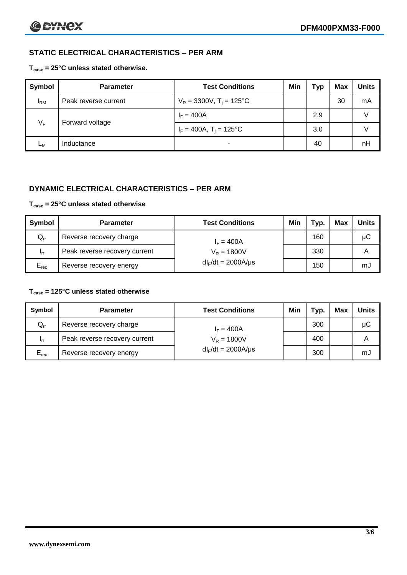### **STATIC ELECTRICAL CHARACTERISTICS – PER ARM**

#### **Tcase = 25°C unless stated otherwise.**

| <b>Symbol</b> | <b>Parameter</b>     | <b>Test Conditions</b>                 | Min | Typ | Max | <b>Units</b> |
|---------------|----------------------|----------------------------------------|-----|-----|-----|--------------|
| $I_{\rm RM}$  | Peak reverse current | $V_R = 3300V$ , T <sub>i</sub> = 125°C |     |     | 30  | mA           |
| $V_F$         | Forward voltage      | $I_F = 400A$                           |     | 2.9 |     |              |
|               |                      | $I_F = 400A$ , $T_i = 125^{\circ}C$    |     | 3.0 |     |              |
| Lм            | Inductance           | $\blacksquare$                         |     | 40  |     | nH           |

#### **DYNAMIC ELECTRICAL CHARACTERISTICS – PER ARM**

#### **Tcase = 25°C unless stated otherwise**

| Symbol          | <b>Parameter</b>                        | <b>Test Conditions</b>  | Min | Typ. | Max | <b>Units</b> |
|-----------------|-----------------------------------------|-------------------------|-----|------|-----|--------------|
| $Q_{rr}$        | Reverse recovery charge<br>$I_F = 400A$ |                         |     | 160  |     | μC           |
| 1 <sub>rr</sub> | Peak reverse recovery current           | $V_R = 1800V$           |     | 330  |     | A            |
| $E_{rec}$       | Reverse recovery energy                 | $dl_F/dt = 2000A/\mu s$ |     | 150  |     | mJ           |

#### **Tcase = 125°C unless stated otherwise**

| Symbol                     | <b>Parameter</b>              | <b>Test Conditions</b>  | Min | Typ. | Max | Units |
|----------------------------|-------------------------------|-------------------------|-----|------|-----|-------|
| $\mathsf{Q}_{\mathsf{rr}}$ | Reverse recovery charge       | $I_F = 400A$            |     | 300  |     | μC    |
| - Irr                      | Peak reverse recovery current | $V_R = 1800V$           |     | 400  |     | А     |
| $E_{rec}$                  | Reverse recovery energy       | $dl_F/dt = 2000A/\mu s$ |     | 300  |     | mJ    |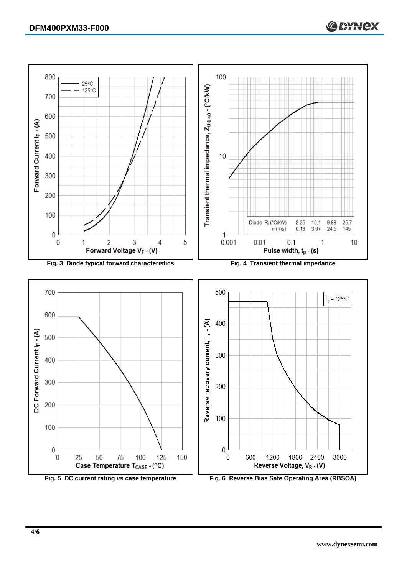

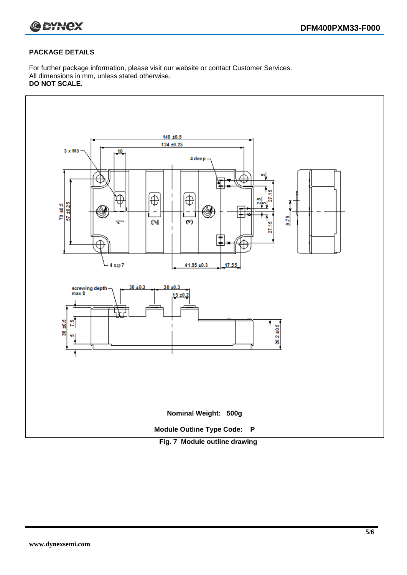

#### **PACKAGE DETAILS**

For further package information, please visit our website or contact Customer Services. All dimensions in mm, unless stated otherwise. **DO NOT SCALE.**